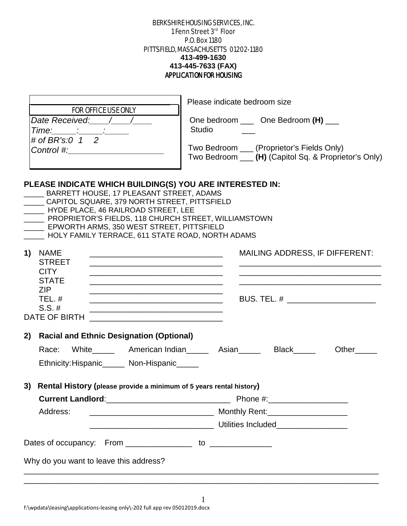BERKSHIRE HOUSING SERVICES, INC. 1 Fenn Street 3rd Floor P.O. Box 1180 PITTSFIELD, MASSACHUSETTS 01202-1180 **413-499-1630 413-445-7633 (FAX)** APPLICATION FOR HOUSING

| <b>FOR OFFICE USE ONLY</b><br>Date Received: / /<br>$Time$ $\frac{1}{2}$ $\frac{1}{2}$ $\frac{1}{2}$ $\frac{1}{2}$ $\frac{1}{2}$ $\frac{1}{2}$ $\frac{1}{2}$ $\frac{1}{2}$ $\frac{1}{2}$ $\frac{1}{2}$ $\frac{1}{2}$ $\frac{1}{2}$ $\frac{1}{2}$ $\frac{1}{2}$ $\frac{1}{2}$ $\frac{1}{2}$ $\frac{1}{2}$ $\frac{1}{2}$ $\frac{1}{2}$ $\frac{1}{2}$ $\frac{1}{2}$ $\frac{1}{2$<br># of BR's:0 $1 \quad 2$                                                               | Please indicate bedroom size<br>One bedroom _____ One Bedroom (H) ___<br><b>Studio</b><br>Two Bedroom ____ (Proprietor's Fields Only)<br>Two Bedroom ___ (H) (Capitol Sq. & Proprietor's Only) |
|------------------------------------------------------------------------------------------------------------------------------------------------------------------------------------------------------------------------------------------------------------------------------------------------------------------------------------------------------------------------------------------------------------------------------------------------------------------------|------------------------------------------------------------------------------------------------------------------------------------------------------------------------------------------------|
| PLEASE INDICATE WHICH BUILDING(S) YOU ARE INTERESTED IN:<br>__ BARRETT HOUSE, 17 PLEASANT STREET, ADAMS<br>CAPITOL SQUARE, 379 NORTH STREET, PITTSFIELD<br>____ HYDE PLACE, 46 RAILROAD STREET, LEE<br>____ PROPRIETOR'S FIELDS, 118 CHURCH STREET, WILLIAMSTOWN<br>EPWORTH ARMS, 350 WEST STREET, PITTSFIELD<br>HOLY FAMILY TERRACE, 611 STATE ROAD, NORTH ADAMS                                                                                                      |                                                                                                                                                                                                |
| 1) NAME<br><b>STREET</b><br><b>CITY</b><br><u> 1989 - Johann John Stein, markin fan it ferstjer fan de ferstjer fan it ferstjer fan it ferstjer fan it fers</u><br><b>STATE</b><br><b>ZIP</b><br><u> 1989 - Johann John Stone, markin film yn y brening yn y brening yn y brening yn y brening y brening yn y bre</u><br>$TEL.$ #<br><u> 1989 - Jan James James James James James James James James James James James James James James James James J</u><br>$S.S. \#$ | MAILING ADDRESS, IF DIFFERENT:                                                                                                                                                                 |
| 2) Racial and Ethnic Designation (Optional)                                                                                                                                                                                                                                                                                                                                                                                                                            |                                                                                                                                                                                                |
| Ethnicity: Hispanic______ Non-Hispanic_____                                                                                                                                                                                                                                                                                                                                                                                                                            | Race: White_______ American Indian______ Asian______ Black_____<br>Other                                                                                                                       |
| Rental History (please provide a minimum of 5 years rental history)<br>3)                                                                                                                                                                                                                                                                                                                                                                                              |                                                                                                                                                                                                |
|                                                                                                                                                                                                                                                                                                                                                                                                                                                                        |                                                                                                                                                                                                |
| Address:                                                                                                                                                                                                                                                                                                                                                                                                                                                               |                                                                                                                                                                                                |
|                                                                                                                                                                                                                                                                                                                                                                                                                                                                        |                                                                                                                                                                                                |
|                                                                                                                                                                                                                                                                                                                                                                                                                                                                        |                                                                                                                                                                                                |
| Dates of occupancy: From _________________ to ______________                                                                                                                                                                                                                                                                                                                                                                                                           |                                                                                                                                                                                                |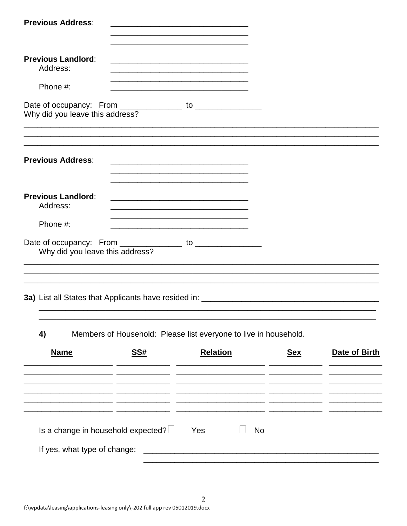| <b>Previous Address:</b>              |            |                                                                                                                      |            |               |
|---------------------------------------|------------|----------------------------------------------------------------------------------------------------------------------|------------|---------------|
| <b>Previous Landlord:</b><br>Address: |            | <u> 1989 - Johann John Stone, markin film yn y brening yn y brening yn y brening yn y brening y brening yn y bre</u> |            |               |
| Phone #:                              |            |                                                                                                                      |            |               |
| Why did you leave this address?       |            |                                                                                                                      |            |               |
| <b>Previous Address:</b>              |            | <u> 1989 - Johann Stein, marwolaethau a bhann an t-Amhainn an t-Amhainn an t-Amhainn an t-Amhainn an t-Amhainn a</u> |            |               |
| <b>Previous Landlord:</b><br>Address: |            |                                                                                                                      |            |               |
| Phone #:                              |            |                                                                                                                      |            |               |
|                                       |            |                                                                                                                      |            |               |
| Why did you leave this address?       |            |                                                                                                                      |            |               |
|                                       |            |                                                                                                                      |            |               |
| 4)                                    |            | Members of Household: Please list everyone to live in household.                                                     |            |               |
| <b>Name</b>                           | <u>SS#</u> | <b>Relation</b>                                                                                                      | <u>Sex</u> | Date of Birth |
|                                       |            |                                                                                                                      |            |               |
|                                       |            |                                                                                                                      |            |               |
| Is a change in household expected?    |            | Yes<br>No                                                                                                            |            |               |
| If yes, what type of change:          |            | <u> 1980 - Jan James James Jan James James James James James James James James James James James James James Jam</u> |            |               |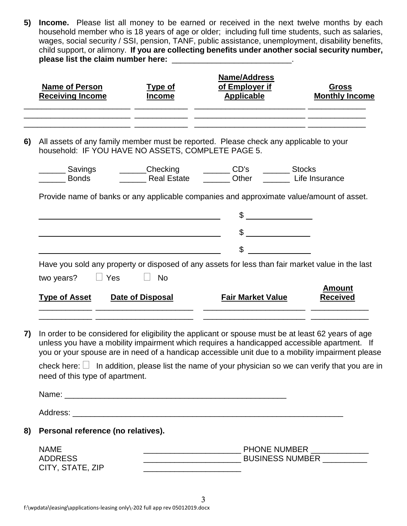**5) Income.** Please list all money to be earned or received in the next twelve months by each household member who is 18 years of age or older; including full time students, such as salaries, wages, social security / SSI, pension, TANF, public assistance, unemployment, disability benefits, child support, or alimony. **If you are collecting benefits under another social security number,**  please list the claim number here: **with all of the claim of the claim**  $\frac{1}{2}$ 

|    | <b>Name of Person</b><br><b>Receiving Income</b>               | <b>Type of</b><br><b>Income</b> | <b>Name/Address</b><br>of Employer if<br><b>Applicable</b>                                                                                                                                                                                                                                                                                                                                                       | Gross<br><b>Monthly Income</b>   |
|----|----------------------------------------------------------------|---------------------------------|------------------------------------------------------------------------------------------------------------------------------------------------------------------------------------------------------------------------------------------------------------------------------------------------------------------------------------------------------------------------------------------------------------------|----------------------------------|
| 6) | household: IF YOU HAVE NO ASSETS, COMPLETE PAGE 5.             |                                 | All assets of any family member must be reported. Please check any applicable to your                                                                                                                                                                                                                                                                                                                            |                                  |
|    | _____ Savings<br><b>Bonds</b>                                  |                                 | ______Checking _______CD's _______Stocks<br>Life Insurance                                                                                                                                                                                                                                                                                                                                                       |                                  |
|    |                                                                |                                 | Provide name of banks or any applicable companies and approximate value/amount of asset.<br>$\frac{1}{2}$                                                                                                                                                                                                                                                                                                        |                                  |
|    |                                                                |                                 | $\mathfrak{S}$                                                                                                                                                                                                                                                                                                                                                                                                   |                                  |
|    | two years? $\Box$ Yes<br><b>Type of Asset Date of Disposal</b> | $\Box$ No                       | Have you sold any property or disposed of any assets for less than fair market value in the last<br><b>Fair Market Value</b>                                                                                                                                                                                                                                                                                     | <b>Amount</b><br><b>Received</b> |
| 7) | need of this type of apartment.                                |                                 | In order to be considered for eligibility the applicant or spouse must be at least 62 years of age<br>unless you have a mobility impairment which requires a handicapped accessible apartment. If<br>you or your spouse are in need of a handicap accessible unit due to a mobility impairment please<br>check here: $\Box$ In addition, please list the name of your physician so we can verify that you are in |                                  |
|    |                                                                |                                 |                                                                                                                                                                                                                                                                                                                                                                                                                  |                                  |

Address: \_\_\_\_\_\_\_\_\_\_\_\_\_\_\_\_\_\_\_\_\_\_\_\_\_\_\_\_\_\_\_\_\_\_\_\_\_\_\_\_\_\_\_\_\_\_\_\_\_\_\_\_\_\_\_\_\_\_\_\_\_

**8) Personal reference (no relatives).**

| <b>NAME</b>      | <b>PHONE NUMBER</b>    |
|------------------|------------------------|
| <b>ADDRESS</b>   | <b>BUSINESS NUMBER</b> |
| CITY, STATE, ZIP |                        |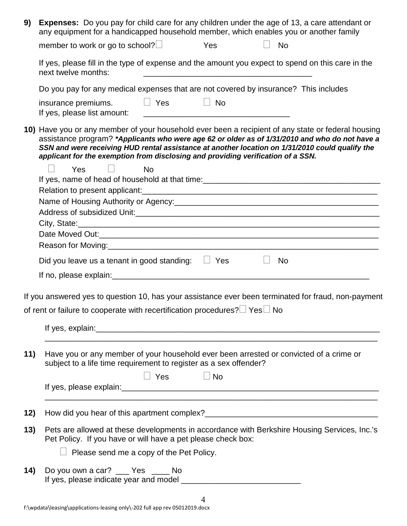| 9)  | <b>Expenses:</b> Do you pay for child care for any children under the age of 13, a care attendant or<br>any equipment for a handicapped household member, which enables you or another family                                                                                                                                                                                               |  |  |  |  |
|-----|---------------------------------------------------------------------------------------------------------------------------------------------------------------------------------------------------------------------------------------------------------------------------------------------------------------------------------------------------------------------------------------------|--|--|--|--|
|     | member to work or go to school?<br><b>Example Street Street Street</b><br><b>No</b>                                                                                                                                                                                                                                                                                                         |  |  |  |  |
|     | If yes, please fill in the type of expense and the amount you expect to spend on this care in the<br>next twelve months:                                                                                                                                                                                                                                                                    |  |  |  |  |
|     | Do you pay for any medical expenses that are not covered by insurance? This includes                                                                                                                                                                                                                                                                                                        |  |  |  |  |
|     | $\Box$ Yes<br>and a District No. ⊌<br>District No. ⊌<br>insurance premiums.                                                                                                                                                                                                                                                                                                                 |  |  |  |  |
|     | 10) Have you or any member of your household ever been a recipient of any state or federal housing<br>assistance program? *Applicants who were age 62 or older as of 1/31/2010 and who do not have a<br>SSN and were receiving HUD rental assistance at another location on 1/31/2010 could qualify the<br>applicant for the exemption from disclosing and providing verification of a SSN. |  |  |  |  |
|     | Yes<br><b>No</b>                                                                                                                                                                                                                                                                                                                                                                            |  |  |  |  |
|     |                                                                                                                                                                                                                                                                                                                                                                                             |  |  |  |  |
|     | Name of Housing Authority or Agency: Manual Manual Manual Manual Manual Manual Manual Manual Manual Manual                                                                                                                                                                                                                                                                                  |  |  |  |  |
|     |                                                                                                                                                                                                                                                                                                                                                                                             |  |  |  |  |
|     |                                                                                                                                                                                                                                                                                                                                                                                             |  |  |  |  |
|     |                                                                                                                                                                                                                                                                                                                                                                                             |  |  |  |  |
|     |                                                                                                                                                                                                                                                                                                                                                                                             |  |  |  |  |
|     | Did you leave us a tenant in good standing: $\Box$ Yes<br><b>No</b><br>$\Box$                                                                                                                                                                                                                                                                                                               |  |  |  |  |
|     |                                                                                                                                                                                                                                                                                                                                                                                             |  |  |  |  |
|     |                                                                                                                                                                                                                                                                                                                                                                                             |  |  |  |  |
|     | If you answered yes to question 10, has your assistance ever been terminated for fraud, non-payment<br>of rent or failure to cooperate with recertification procedures? $\Box$ Yes $\Box$ No                                                                                                                                                                                                |  |  |  |  |
|     |                                                                                                                                                                                                                                                                                                                                                                                             |  |  |  |  |
| 11) | Have you or any member of your household ever been arrested or convicted of a crime or<br>subject to a life time requirement to register as a sex offender?                                                                                                                                                                                                                                 |  |  |  |  |
|     | $\Box$ Yes $\Box$ No                                                                                                                                                                                                                                                                                                                                                                        |  |  |  |  |
| 12) |                                                                                                                                                                                                                                                                                                                                                                                             |  |  |  |  |
| 13) | Pets are allowed at these developments in accordance with Berkshire Housing Services, Inc.'s<br>Pet Policy. If you have or will have a pet please check box:                                                                                                                                                                                                                                |  |  |  |  |
|     | Please send me a copy of the Pet Policy.                                                                                                                                                                                                                                                                                                                                                    |  |  |  |  |
| 14) | Do you own a car? ___ Yes ____ No                                                                                                                                                                                                                                                                                                                                                           |  |  |  |  |
|     |                                                                                                                                                                                                                                                                                                                                                                                             |  |  |  |  |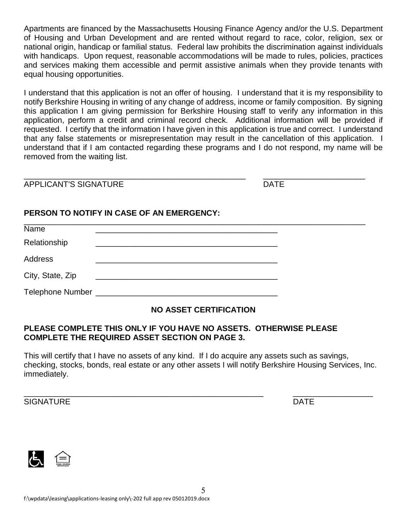Apartments are financed by the Massachusetts Housing Finance Agency and/or the U.S. Department of Housing and Urban Development and are rented without regard to race, color, religion, sex or national origin, handicap or familial status. Federal law prohibits the discrimination against individuals with handicaps. Upon request, reasonable accommodations will be made to rules, policies, practices and services making them accessible and permit assistive animals when they provide tenants with equal housing opportunities.

I understand that this application is not an offer of housing. I understand that it is my responsibility to notify Berkshire Housing in writing of any change of address, income or family composition. By signing this application I am giving permission for Berkshire Housing staff to verify any information in this application, perform a credit and criminal record check. Additional information will be provided if requested. I certify that the information I have given in this application is true and correct. I understand that any false statements or misrepresentation may result in the cancellation of this application. I understand that if I am contacted regarding these programs and I do not respond, my name will be removed from the waiting list.

APPLICANT'S SIGNATURE **Example 2018** DATE

\_\_\_\_\_\_\_\_\_\_\_\_\_\_\_\_\_\_\_\_\_\_\_\_\_\_\_\_\_\_\_\_\_\_\_\_\_\_\_\_\_\_\_\_\_\_\_\_\_\_ \_\_\_\_\_\_\_\_\_\_\_\_\_\_\_\_\_\_\_\_\_\_\_

## PERSON TO NOTIFY IN CASE OF AN EMERGENCY:

| Name             |  |
|------------------|--|
| Relationship     |  |
| Address          |  |
| City, State, Zip |  |
|                  |  |

# **NO ASSET CERTIFICATION**

## **PLEASE COMPLETE THIS ONLY IF YOU HAVE NO ASSETS. OTHERWISE PLEASE COMPLETE THE REQUIRED ASSET SECTION ON PAGE 3.**

This will certify that I have no assets of any kind. If I do acquire any assets such as savings, checking, stocks, bonds, real estate or any other assets I will notify Berkshire Housing Services, Inc. immediately.

SIGNATURE DATE DATE OF A SERVICE SERVICE OF A SERVICE OF A SERVICE OF A SERVICE OF A SERVICE OF A SERVICE OF A

\_\_\_\_\_\_\_\_\_\_\_\_\_\_\_\_\_\_\_\_\_\_\_\_\_\_\_\_\_\_\_\_\_\_\_\_\_\_\_\_\_\_\_\_\_\_\_\_\_\_\_\_\_\_ \_\_\_\_\_\_\_\_\_\_\_\_\_\_\_\_\_\_

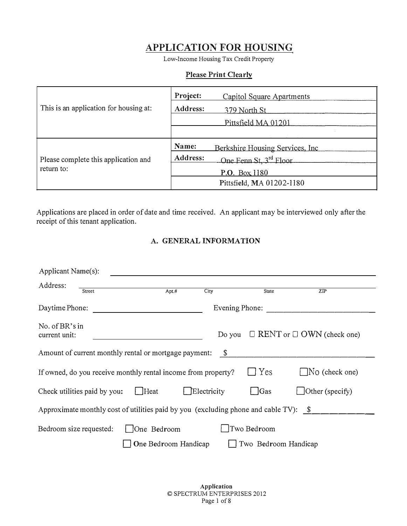# **APPLICATION FOR HOUSING**

Low-Income Housing Tax Credit Property

## **Please Print Clearly**

| This is an application for housing at:             | Project:<br>Capitol Square Apartments<br>Address:<br>379 North St<br>Pittsfield MA 01201                                                  |
|----------------------------------------------------|-------------------------------------------------------------------------------------------------------------------------------------------|
| Please complete this application and<br>return to: | Name:<br>Berkshire Housing Services, Inc.<br>Address:<br>One Fenn St, 3 <sup>rd</sup> Floor<br>P.O. Box 1180<br>Pittsfield, MA 01202-1180 |

Applications are placed in order of date and time received. An applicant may be interviewed only after the receipt of this tenant application.

## A. GENERAL INFORMATION

| Applicant Name(s):                                                                    |                      |                |                      |                                       |
|---------------------------------------------------------------------------------------|----------------------|----------------|----------------------|---------------------------------------|
| Address:<br>Street                                                                    | ApL#                 | City           | State                | ZIP                                   |
|                                                                                       |                      |                |                      |                                       |
| Daytime Phone:                                                                        |                      | Evening Phone: |                      |                                       |
| No. of BR's in                                                                        |                      |                |                      | $\Box$ RENT or $\Box$ OWN (check one) |
| current unit:                                                                         |                      | Do you         |                      |                                       |
| Amount of current monthly rental or mortgage payment:                                 |                      | $\mathcal{S}$  |                      |                                       |
|                                                                                       |                      |                |                      |                                       |
| If owned, do you receive monthly rental income from property?                         |                      |                | $\Box$ Yes           | $\Box$ No (check one)                 |
| Check utilities paid by you:                                                          | $H$ eat              | Electricity    | <b>Gas</b>           | $\vert$ Other (specify)               |
| Approximate monthly cost of utilities paid by you (excluding phone and cable TV): $$$ |                      |                |                      |                                       |
| Bedroom size requested:                                                               | One Bedroom          |                | Two Bedroom          |                                       |
|                                                                                       | One Bedroom Handicap |                | Two Bedroom Handicap |                                       |

Application © SPECTRUM ENTERPRISES 2012 Page 1 of 8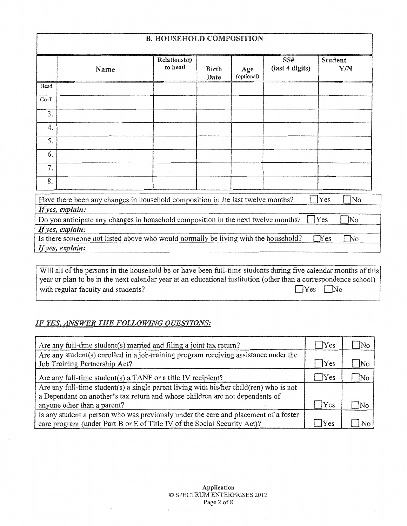|        | Name                                                                               | Relationship<br>to head | <b>Birth</b><br>Date | Age<br>(optional) | SS#<br>(last 4 digits) | Student<br>YN              |
|--------|------------------------------------------------------------------------------------|-------------------------|----------------------|-------------------|------------------------|----------------------------|
| Head   |                                                                                    |                         |                      |                   |                        |                            |
| $Co-T$ |                                                                                    |                         |                      |                   |                        |                            |
| 3.     |                                                                                    |                         |                      |                   |                        |                            |
| 4.     |                                                                                    |                         |                      |                   |                        |                            |
| 5.     |                                                                                    |                         |                      |                   |                        |                            |
| 6.     |                                                                                    |                         |                      |                   |                        |                            |
| 7.     |                                                                                    |                         |                      |                   |                        |                            |
| 8.     |                                                                                    |                         |                      |                   |                        |                            |
|        | Have there been any changes in household composition in the last twelve months?    |                         |                      |                   |                        | ]No<br><b>Yes</b>          |
|        | If yes, explain:                                                                   |                         |                      |                   |                        |                            |
|        | Do you anticipate any changes in household composition in the next twelve months?  |                         |                      |                   |                        | Wo.<br>Yes                 |
|        | If yes, explain:                                                                   |                         |                      |                   |                        |                            |
|        | Is there someone not listed above who would normally be living with the household? |                         |                      |                   |                        | $\neg$ Yes<br>$\square$ No |
|        | If yes, explain:                                                                   |                         |                      |                   |                        |                            |

Will all of the persons in the household be or have been full-time students during five calendar months of this year or plan to be in the next calendar year at an educational institution (other than a correspondence school) with regular faculty and students?  $\Box$ Yes  $\Box$ No

## IF YES, ANSWER THE FOLLOWING QUESTIONS:

| Are any full-time student(s) married and filing a joint tax return?                                                                                             | Yes              | No        |
|-----------------------------------------------------------------------------------------------------------------------------------------------------------------|------------------|-----------|
| Are any student(s) enrolled in a job-training program receiving assistance under the<br>Job Training Partnership Act?                                           | $\bigcap$ Yes    | lΝo       |
| Are any full-time student(s) a TANF or a title IV recipient?                                                                                                    | Yes              | <b>No</b> |
| Are any full-time student(s) a single parent living with his/her child(ren) who is not                                                                          |                  |           |
| a Dependant on another's tax return and whose children are not dependents of<br>anyone other than a parent?                                                     | T <sub>Yes</sub> | . INo     |
| Is any student a person who was previously under the care and placement of a foster<br>care program (under Part B or E of Title IV of the Social Security Act)? | $\gamma$ res     | No        |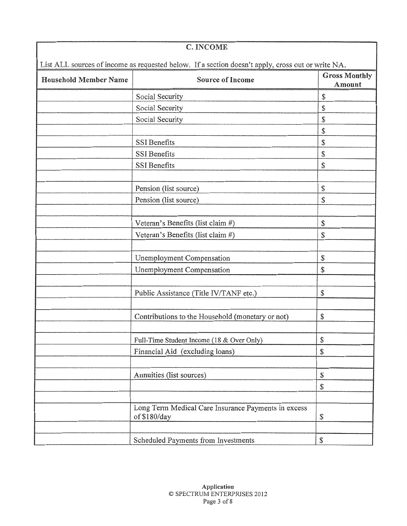| C. INCOME<br>List ALL sources of income as requested below. If a section doesn't apply, cross out or write NA. |                                                     |                                |  |
|----------------------------------------------------------------------------------------------------------------|-----------------------------------------------------|--------------------------------|--|
| <b>Household Member Name</b>                                                                                   | Source of Income                                    | <b>Gross Monthly</b><br>Amount |  |
|                                                                                                                | Social Security                                     | \$                             |  |
|                                                                                                                | Social Security                                     | \$                             |  |
|                                                                                                                | Social Security                                     | \$                             |  |
|                                                                                                                |                                                     | \$                             |  |
|                                                                                                                | SSI Benefits                                        | \$                             |  |
|                                                                                                                | SSI Benefits                                        | \$                             |  |
|                                                                                                                | SSI Benefits                                        | \$                             |  |
|                                                                                                                |                                                     |                                |  |
|                                                                                                                | Pension (list source)                               | \$                             |  |
|                                                                                                                | Pension (list source)                               | \$                             |  |
|                                                                                                                |                                                     |                                |  |
|                                                                                                                | Veteran's Benefits (list claim #)                   | \$                             |  |
|                                                                                                                | Veteran's Benefits (list claim #)                   | \$                             |  |
|                                                                                                                |                                                     |                                |  |
|                                                                                                                | Unemployment Compensation                           | \$                             |  |
|                                                                                                                | Unemployment Compensation                           | \$                             |  |
|                                                                                                                |                                                     |                                |  |
|                                                                                                                | Public Assistance (Title IV/TANF etc.)              | \$                             |  |
|                                                                                                                |                                                     |                                |  |
|                                                                                                                | Contributions to the Household (monetary or not)    | \$                             |  |
|                                                                                                                |                                                     |                                |  |
|                                                                                                                | Full-Time Student Income (18 & Over Only)           | \$                             |  |
|                                                                                                                | Financial Aid (excluding loans)                     | \$                             |  |
|                                                                                                                |                                                     |                                |  |
|                                                                                                                | Annuities (list sources)                            | \$                             |  |
|                                                                                                                |                                                     | \$                             |  |
|                                                                                                                |                                                     |                                |  |
|                                                                                                                | Long Term Medical Care Insurance Payments in excess |                                |  |
|                                                                                                                | of \$180/day                                        | \$                             |  |
|                                                                                                                |                                                     |                                |  |
|                                                                                                                | Scheduled Payments from Investments                 | \$                             |  |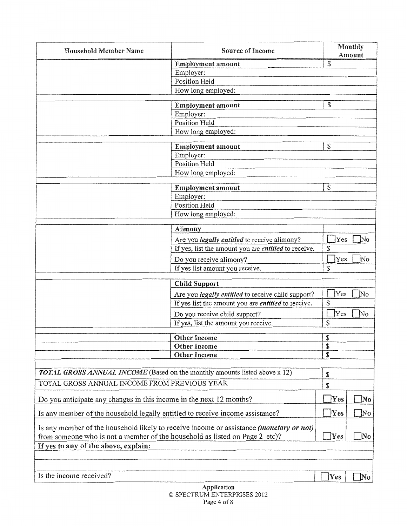| <b>Household Member Name</b>                                                  | <b>Source of Income</b>                                                                        | Monthly<br>Amount                     |  |
|-------------------------------------------------------------------------------|------------------------------------------------------------------------------------------------|---------------------------------------|--|
|                                                                               | <b>Employment amount</b>                                                                       | \$                                    |  |
|                                                                               | Employer:                                                                                      |                                       |  |
|                                                                               | Position Held                                                                                  |                                       |  |
|                                                                               | How long employed:                                                                             |                                       |  |
|                                                                               |                                                                                                |                                       |  |
|                                                                               | <b>Employment amount</b>                                                                       | \$                                    |  |
|                                                                               | Employer:<br>Position Held                                                                     |                                       |  |
|                                                                               | How long employed:                                                                             |                                       |  |
|                                                                               |                                                                                                |                                       |  |
|                                                                               | Employment amount                                                                              | \$                                    |  |
|                                                                               | Employer:                                                                                      |                                       |  |
|                                                                               | Position Held                                                                                  |                                       |  |
|                                                                               | How long employed:                                                                             |                                       |  |
|                                                                               |                                                                                                |                                       |  |
|                                                                               | <b>Employment amount</b>                                                                       | \$                                    |  |
|                                                                               | Employer:                                                                                      |                                       |  |
|                                                                               | Position Held                                                                                  |                                       |  |
|                                                                               | How long employed:                                                                             |                                       |  |
|                                                                               | Alimony                                                                                        |                                       |  |
|                                                                               | Are you legally entitled to receive alimony?                                                   | Yes<br>No                             |  |
|                                                                               | If yes, list the amount you are entitled to receive.                                           | \$                                    |  |
|                                                                               | Do you receive alimony?                                                                        | Yes <br>$\mathbb{N}^{\circ}$          |  |
|                                                                               | If yes list amount you receive.                                                                | \$                                    |  |
|                                                                               | <b>Child Support</b>                                                                           |                                       |  |
|                                                                               | Are you legally entitled to receive child support?                                             | Yes<br>$\overline{\text{No}}$         |  |
| If yes list the amount you are <i>entitled</i> to receive.                    |                                                                                                | \$                                    |  |
|                                                                               | Do you receive child support?                                                                  | Yes]<br>No                            |  |
|                                                                               | If yes, list the amount you receive.                                                           | \$                                    |  |
|                                                                               | Other Income                                                                                   | \$                                    |  |
|                                                                               | <b>Other Income</b>                                                                            | \$                                    |  |
|                                                                               | <b>Other Income</b>                                                                            | \$                                    |  |
|                                                                               |                                                                                                |                                       |  |
| TOTAL GROSS ANNUAL INCOME (Based on the monthly amounts listed above x 12)    |                                                                                                | \$                                    |  |
| TOTAL GROSS ANNUAL INCOME FROM PREVIOUS YEAR                                  |                                                                                                | \$                                    |  |
| Do you anticipate any changes in this income in the next 12 months?           |                                                                                                | $\gamma$<br>$\mathbb{N}^{\mathsf{o}}$ |  |
| Is any member of the household legally entitled to receive income assistance? |                                                                                                | $Y$ es<br>$\mathbb{N}^{\text{o}}$     |  |
|                                                                               | Is any member of the household likely to receive income or assistance <i>(monetary or not)</i> |                                       |  |
| from someone who is not a member of the household as listed on Page 2 etc)?   | Yes<br>$\mathbb{N}^{\text{o}}$                                                                 |                                       |  |
| If yes to any of the above, explain:                                          |                                                                                                |                                       |  |
|                                                                               |                                                                                                |                                       |  |
|                                                                               |                                                                                                |                                       |  |
| Is the income received?                                                       |                                                                                                | $\gamma$<br>No                        |  |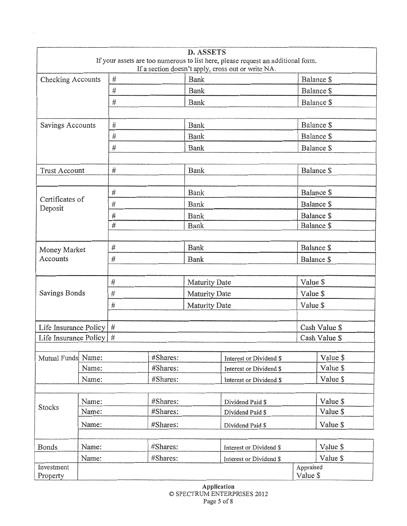| D. ASSETS<br>If your assets are too numerous to list here, please request an additional form.<br>If a section doesn't apply, cross out or write NA. |       |      |          |               |                         |                          |            |  |
|-----------------------------------------------------------------------------------------------------------------------------------------------------|-------|------|----------|---------------|-------------------------|--------------------------|------------|--|
| $\#$<br>Checking Accounts                                                                                                                           |       |      |          | Bank          |                         |                          | Balance \$ |  |
|                                                                                                                                                     |       | #    |          | Bank          |                         | Balance \$               |            |  |
|                                                                                                                                                     |       | #    |          | Bank          |                         | Balance \$               |            |  |
|                                                                                                                                                     |       |      |          |               |                         |                          |            |  |
| Savings Accounts                                                                                                                                    |       | $\#$ |          | Bank          |                         |                          | Balance \$ |  |
|                                                                                                                                                     |       | $\#$ |          | Bank          |                         |                          | Balance \$ |  |
|                                                                                                                                                     |       | $\#$ |          | Bank          |                         |                          | Balance \$ |  |
|                                                                                                                                                     |       |      |          |               |                         |                          |            |  |
| <b>Trust Account</b>                                                                                                                                |       | $\#$ |          | Bank          |                         |                          | Balance \$ |  |
|                                                                                                                                                     |       |      |          |               |                         |                          |            |  |
| Certificates of                                                                                                                                     |       | #    |          | Bank          |                         |                          | Balance \$ |  |
| Deposit                                                                                                                                             |       | #    |          | Bank          |                         |                          | Balance \$ |  |
|                                                                                                                                                     |       | #    |          | Bank          |                         |                          | Balance \$ |  |
|                                                                                                                                                     |       | #    |          | Bank          |                         |                          | Balance \$ |  |
|                                                                                                                                                     |       | #    |          | Bank          |                         |                          |            |  |
| Money Market<br>Accounts                                                                                                                            |       | #    |          |               |                         | Balance \$<br>Balance \$ |            |  |
|                                                                                                                                                     |       |      |          | Bank          |                         |                          |            |  |
|                                                                                                                                                     |       | $\#$ |          | Maturity Date |                         | Value \$                 |            |  |
| Savings Bonds                                                                                                                                       |       | $\#$ |          | Maturity Date |                         | Value \$                 |            |  |
|                                                                                                                                                     |       | #    |          | Maturity Date |                         | Value \$                 |            |  |
|                                                                                                                                                     |       |      |          |               |                         |                          |            |  |
| Life Insurance Policy $\#$                                                                                                                          |       |      |          |               | Cash Value \$           |                          |            |  |
| Life Insurance Policy $\#$                                                                                                                          |       |      |          |               | Cash Value \$           |                          |            |  |
|                                                                                                                                                     |       |      |          |               |                         |                          |            |  |
| Mutual Funds Name:                                                                                                                                  |       |      | #Shares: |               | Interest or Dividend \$ |                          | Value \$   |  |
|                                                                                                                                                     | Name: |      | #Shares: |               | Interest or Dividend \$ |                          | Value \$   |  |
|                                                                                                                                                     | Name: |      | #Shares: |               | Interest or Dividend \$ |                          | Value \$   |  |
|                                                                                                                                                     | Name: |      | #Shares: |               | Dividend Paid \$        |                          | Value \$   |  |
| <b>Stocks</b>                                                                                                                                       | Name: |      | #Shares: |               | Dividend Paid \$        |                          | Value \$   |  |
|                                                                                                                                                     | Name: |      | #Shares: |               | Dividend Paid \$        |                          | Value \$   |  |
|                                                                                                                                                     |       |      |          |               |                         |                          |            |  |
| Bonds                                                                                                                                               | Name: |      | #Shares: |               | Interest or Dividend \$ |                          | Value \$   |  |
|                                                                                                                                                     | Name: |      | #Shares: |               | Interest or Dividend \$ |                          | Value \$   |  |
| Appraised<br>Investment<br>Value \$<br>Property                                                                                                     |       |      |          |               |                         |                          |            |  |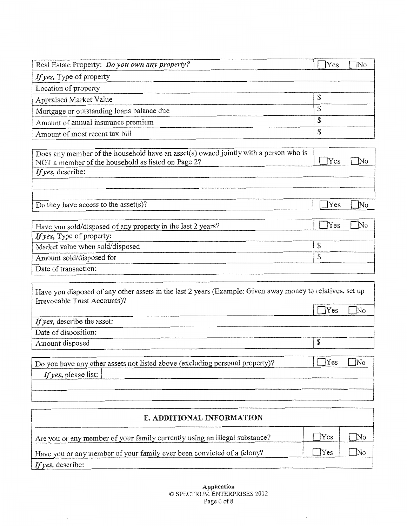| Real Estate Property: Do you own any property? | Yes |  |
|------------------------------------------------|-----|--|
| If yes, Type of property                       |     |  |
| Location of property                           |     |  |
| Appraised Market Value                         |     |  |
| Mortgage or outstanding loans balance due      |     |  |
| Amount of annual insurance premium             |     |  |
| Amount of most recent tax bill                 | S   |  |

| Does any member of the household have an asset(s) owned jointly with a person who is<br>NOT a member of the household as listed on Page 2? | Yes |  |
|--------------------------------------------------------------------------------------------------------------------------------------------|-----|--|
| If yes, describe:                                                                                                                          |     |  |
|                                                                                                                                            |     |  |
|                                                                                                                                            |     |  |
| Do they have access to the asset(s)?                                                                                                       | Yec |  |

 $\sim$ 

| Have you sold/disposed of any property in the last 2 years? | Yes |  |
|-------------------------------------------------------------|-----|--|
| If yes, Type of property:                                   |     |  |
| Market value when sold/disposed                             |     |  |
| Amount sold/disposed for                                    |     |  |
| Date of transaction:                                        |     |  |

| Have you disposed of any other assets in the last 2 years (Example: Given away money to relatives, set up<br>Irrevocable Trust Accounts)? |  |  |  |
|-------------------------------------------------------------------------------------------------------------------------------------------|--|--|--|
|                                                                                                                                           |  |  |  |
| If yes, describe the asset:                                                                                                               |  |  |  |
| Date of disposition:                                                                                                                      |  |  |  |
| Amount disposed                                                                                                                           |  |  |  |

|                              | Do you have any other assets not listed above (excluding personal property)? | Yes | <b>INc</b> |
|------------------------------|------------------------------------------------------------------------------|-----|------------|
| If yes, please list: $\vert$ |                                                                              |     |            |
|                              |                                                                              |     |            |

| E. ADDITIONAL INFORMATION                                                  |            |  |
|----------------------------------------------------------------------------|------------|--|
| Are you or any member of your family currently using an illegal substance? | <b>Yes</b> |  |
| Have you or any member of your family ever been convicted of a felony?     | 'Yes       |  |
| If yes, describe:                                                          |            |  |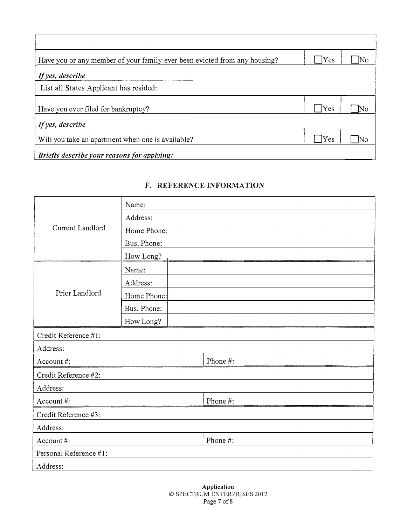| Have you or any member of your family ever been evicted from any housing? | Yes          |  |
|---------------------------------------------------------------------------|--------------|--|
| If yes, describe                                                          |              |  |
| List all States Applicant has resided:                                    |              |  |
| Have you ever filed for bankruptcy?                                       | <b>TY</b> es |  |
| If yes, describe                                                          |              |  |
| Will you take an apartment when one is available?                         | <b>Yes</b>   |  |
| Briefly describe your reasons for applying:                               |              |  |

|                        | Name:       |          |
|------------------------|-------------|----------|
|                        | Address:    |          |
| Current Landlord       | Home Phone: |          |
|                        | Bus. Phone: |          |
|                        | How Long?   |          |
|                        | Name:       |          |
|                        | Address:    |          |
| Prior Landlord         | Home Phone: |          |
|                        | Bus. Phone: |          |
|                        | How Long?   |          |
| Credit Reference #1:   |             |          |
| Address:               |             |          |
| Account #:             |             | Phone #: |
| Credit Reference #2:   |             |          |
| Address:               |             |          |
| Account#:              |             | Phone #: |
| Credit Reference #3:   |             |          |
| Address:               |             |          |
| Account#:              |             | Phone #: |
| Personal Reference #1: |             |          |
| Address:               |             |          |

## **F. REFERENCE INFORMATION**